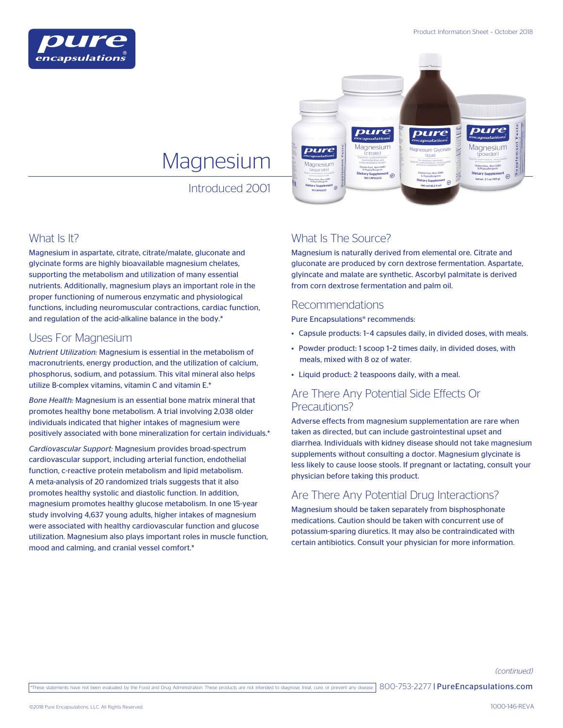



# **Magnesium**

Introduced 2001

## What Is It?

Magnesium in aspartate, citrate, citrate/malate, gluconate and glycinate forms are highly bioavailable magnesium chelates, supporting the metabolism and utilization of many essential nutrients. Additionally, magnesium plays an important role in the proper functioning of numerous enzymatic and physiological functions, including neuromuscular contractions, cardiac function, and regulation of the acid-alkaline balance in the body.\*

## Uses For Magnesium

*Nutrient Utilization:* Magnesium is essential in the metabolism of macronutrients, energy production, and the utilization of calcium, phosphorus, sodium, and potassium. This vital mineral also helps utilize B-complex vitamins, vitamin C and vitamin E.\*

*Bone Health:* Magnesium is an essential bone matrix mineral that promotes healthy bone metabolism. A trial involving 2,038 older individuals indicated that higher intakes of magnesium were positively associated with bone mineralization for certain individuals.\*

*Cardiovascular Support:* Magnesium provides broad-spectrum cardiovascular support, including arterial function, endothelial function, c-reactive protein metabolism and lipid metabolism. A meta-analysis of 20 randomized trials suggests that it also promotes healthy systolic and diastolic function. In addition, magnesium promotes healthy glucose metabolism. In one 15-year study involving 4,637 young adults, higher intakes of magnesium were associated with healthy cardiovascular function and glucose utilization. Magnesium also plays important roles in muscle function, mood and calming, and cranial vessel comfort.\*

# What Is The Source?

Magnesium is naturally derived from elemental ore. Citrate and gluconate are produced by corn dextrose fermentation. Aspartate, glyincate and malate are synthetic. Ascorbyl palmitate is derived from corn dextrose fermentation and palm oil.

## Recommendations

Pure Encapsulations® recommends:

- Capsule products: 1–4 capsules daily, in divided doses, with meals.
- Powder product: 1 scoop 1–2 times daily, in divided doses, with meals, mixed with 8 oz of water.
- Liquid product: 2 teaspoons daily, with a meal.

## Are There Any Potential Side Effects Or Precautions?

Adverse effects from magnesium supplementation are rare when taken as directed, but can include gastrointestinal upset and diarrhea. Individuals with kidney disease should not take magnesium supplements without consulting a doctor. Magnesium glycinate is less likely to cause loose stools. If pregnant or lactating, consult your physician before taking this product.

# Are There Any Potential Drug Interactions?

Magnesium should be taken separately from bisphosphonate medications. Caution should be taken with concurrent use of potassium-sparing diuretics. It may also be contraindicated with certain antibiotics. Consult your physician for more information.